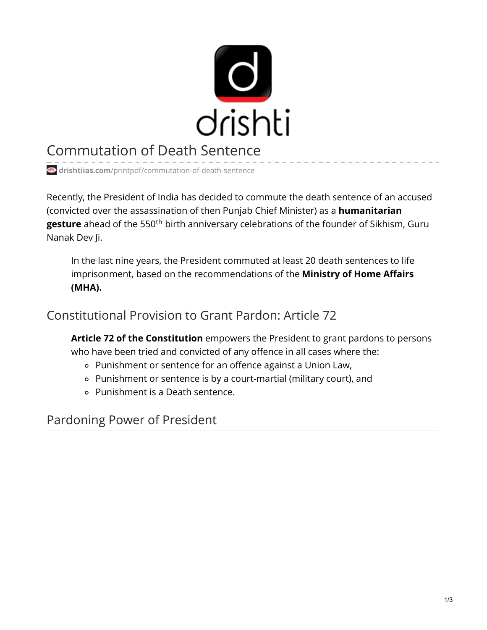

# Commutation of Death Sentence

**drishtiias.com**[/printpdf/commutation-of-death-sentence](https://www.drishtiias.com/printpdf/commutation-of-death-sentence)

Recently, the President of India has decided to commute the death sentence of an accused (convicted over the assassination of then Punjab Chief Minister) as a **humanitarian gesture** ahead of the 550<sup>th</sup> birth anniversary celebrations of the founder of Sikhism, Guru Nanak Dev Ji.

In the last nine years, the President commuted at least 20 death sentences to life imprisonment, based on the recommendations of the **Ministry of Home Affairs (MHA).**

#### Constitutional Provision to Grant Pardon: Article 72

**Article 72 of the Constitution** empowers the President to grant pardons to persons who have been tried and convicted of any offence in all cases where the:

- Punishment or sentence for an offence against a Union Law,
- Punishment or sentence is by a court-martial (military court), and
- Punishment is a Death sentence.

Pardoning Power of President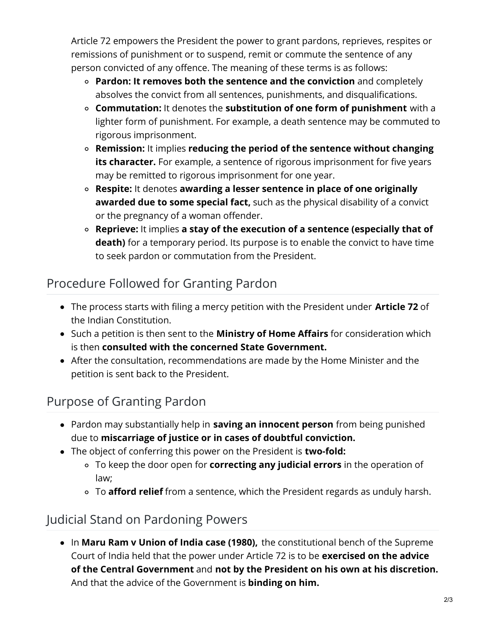Article 72 empowers the President the power to grant pardons, reprieves, respites or remissions of punishment or to suspend, remit or commute the sentence of any person convicted of any offence. The meaning of these terms is as follows:

- **Pardon: It removes both the sentence and the conviction** and completely absolves the convict from all sentences, punishments, and disqualifications.
- **Commutation:** It denotes the **substitution of one form of punishment** with a lighter form of punishment. For example, a death sentence may be commuted to rigorous imprisonment.
- **Remission:** It implies **reducing the period of the sentence without changing its character.** For example, a sentence of rigorous imprisonment for five years may be remitted to rigorous imprisonment for one year.
- **Respite:** It denotes **awarding a lesser sentence in place of one originally awarded due to some special fact,** such as the physical disability of a convict or the pregnancy of a woman offender.
- **Reprieve:** It implies **a stay of the execution of a sentence (especially that of death)** for a temporary period. Its purpose is to enable the convict to have time to seek pardon or commutation from the President.

## Procedure Followed for Granting Pardon

- The process starts with filing a mercy petition with the President under **Article 72** of the Indian Constitution.
- Such a petition is then sent to the **Ministry of Home Affairs** for consideration which is then **consulted with the concerned State Government.**
- After the consultation, recommendations are made by the Home Minister and the petition is sent back to the President.

## Purpose of Granting Pardon

- Pardon may substantially help in **saving an innocent person** from being punished due to **miscarriage of justice or in cases of doubtful conviction.**
- The object of conferring this power on the President is **two-fold:**
	- To keep the door open for **correcting any judicial errors** in the operation of law;
	- To **afford relief** from a sentence, which the President regards as unduly harsh.

## Judicial Stand on Pardoning Powers

In **Maru Ram v Union of India case (1980),** the constitutional bench of the Supreme Court of India held that the power under Article 72 is to be **exercised on the advice of the Central Government** and **not by the President on his own at his discretion.** And that the advice of the Government is **binding on him.**